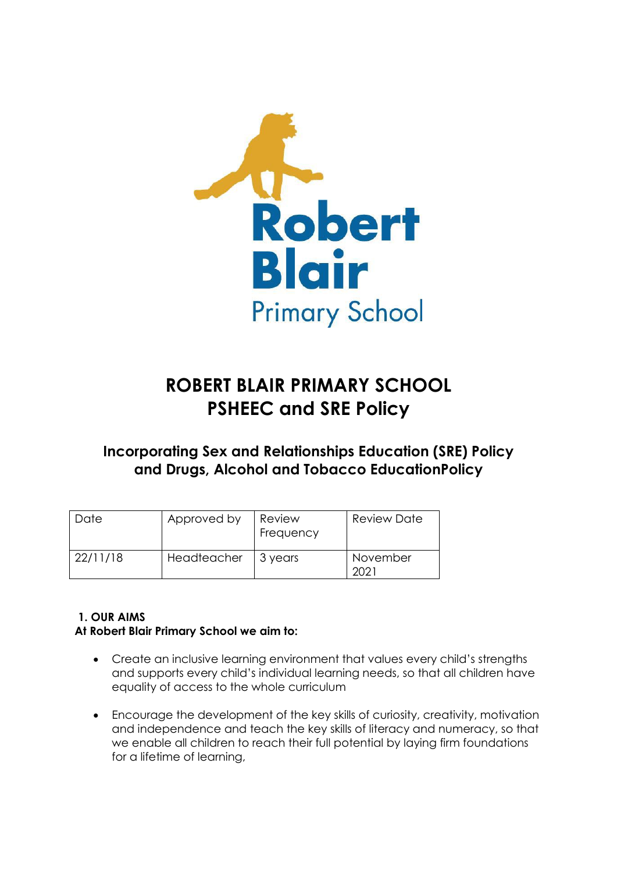

# **ROBERT BLAIR PRIMARY SCHOOL PSHEEC and SRE Policy**

# **Incorporating Sex and Relationships Education (SRE) Policy and Drugs, Alcohol and Tobacco EducationPolicy**

| Date     | Approved by | Review<br>Frequency | <b>Review Date</b> |
|----------|-------------|---------------------|--------------------|
| 22/11/18 | Headteacher | 3 years             | November           |

# **1. OUR AIMS At Robert Blair Primary School we aim to:**

- Create an inclusive learning environment that values every child's strengths and supports every child's individual learning needs, so that all children have equality of access to the whole curriculum
- Encourage the development of the key skills of curiosity, creativity, motivation and independence and teach the key skills of literacy and numeracy, so that we enable all children to reach their full potential by laying firm foundations for a lifetime of learning,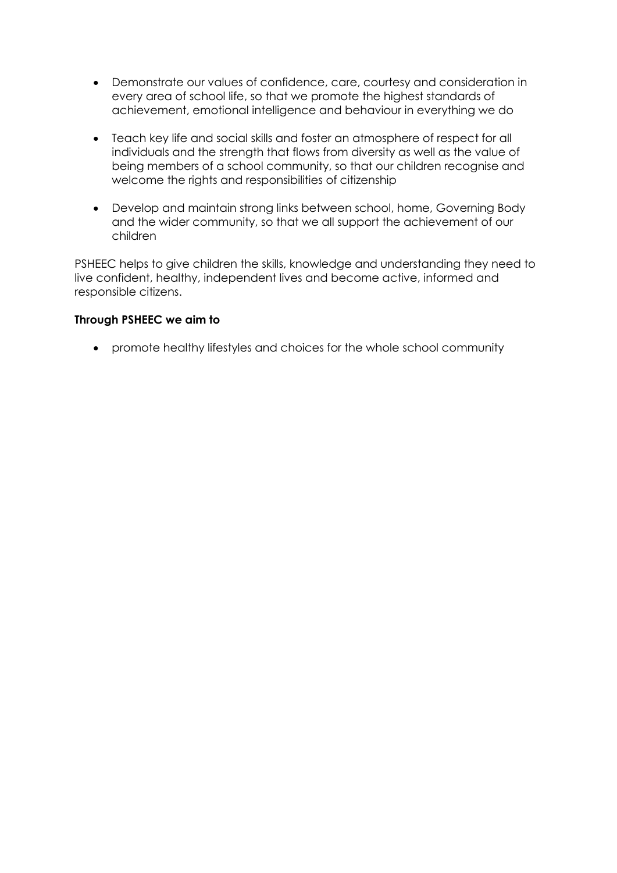- Demonstrate our values of confidence, care, courtesy and consideration in every area of school life, so that we promote the highest standards of achievement, emotional intelligence and behaviour in everything we do
- Teach key life and social skills and foster an atmosphere of respect for all individuals and the strength that flows from diversity as well as the value of being members of a school community, so that our children recognise and welcome the rights and responsibilities of citizenship
- Develop and maintain strong links between school, home, Governing Body and the wider community, so that we all support the achievement of our children

PSHEEC helps to give children the skills, knowledge and understanding they need to live confident, healthy, independent lives and become active, informed and responsible citizens.

#### **Through PSHEEC we aim to**

promote healthy lifestyles and choices for the whole school community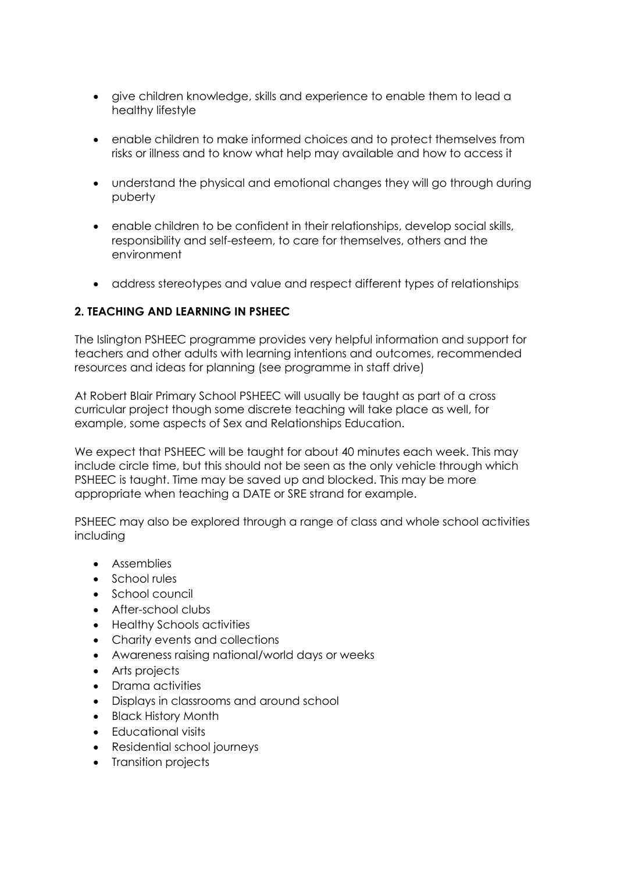- give children knowledge, skills and experience to enable them to lead a healthy lifestyle
- enable children to make informed choices and to protect themselves from risks or illness and to know what help may available and how to access it
- understand the physical and emotional changes they will go through during puberty
- enable children to be confident in their relationships, develop social skills, responsibility and self-esteem, to care for themselves, others and the environment
- address stereotypes and value and respect different types of relationships

# **2. TEACHING AND LEARNING IN PSHEEC**

The Islington PSHEEC programme provides very helpful information and support for teachers and other adults with learning intentions and outcomes, recommended resources and ideas for planning (see programme in staff drive)

At Robert Blair Primary School PSHEEC will usually be taught as part of a cross curricular project though some discrete teaching will take place as well, for example, some aspects of Sex and Relationships Education.

We expect that PSHEEC will be taught for about 40 minutes each week. This may include circle time, but this should not be seen as the only vehicle through which PSHEEC is taught. Time may be saved up and blocked. This may be more appropriate when teaching a DATE or SRE strand for example.

PSHEEC may also be explored through a range of class and whole school activities including

- **Assemblies**
- School rules
- School council
- After-school clubs
- Healthy Schools activities
- Charity events and collections
- Awareness raising national/world days or weeks
- Arts projects
- Drama activities
- Displays in classrooms and around school
- Black History Month
- Educational visits
- Residential school journeys
- Transition projects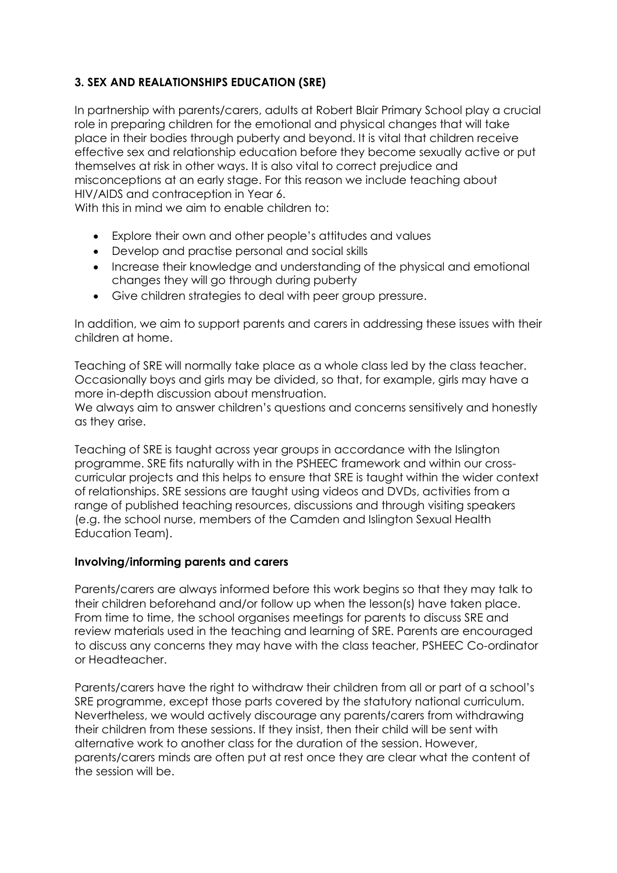# **3. SEX AND REALATIONSHIPS EDUCATION (SRE)**

In partnership with parents/carers, adults at Robert Blair Primary School play a crucial role in preparing children for the emotional and physical changes that will take place in their bodies through puberty and beyond. It is vital that children receive effective sex and relationship education before they become sexually active or put themselves at risk in other ways. It is also vital to correct prejudice and misconceptions at an early stage. For this reason we include teaching about HIV/AIDS and contraception in Year 6.

With this in mind we aim to enable children to:

- Explore their own and other people's attitudes and values
- Develop and practise personal and social skills
- Increase their knowledge and understanding of the physical and emotional changes they will go through during puberty
- Give children strategies to deal with peer group pressure.

In addition, we aim to support parents and carers in addressing these issues with their children at home.

Teaching of SRE will normally take place as a whole class led by the class teacher. Occasionally boys and girls may be divided, so that, for example, girls may have a more in-depth discussion about menstruation.

We always aim to answer children's questions and concerns sensitively and honestly as they arise.

Teaching of SRE is taught across year groups in accordance with the Islington programme. SRE fits naturally with in the PSHEEC framework and within our crosscurricular projects and this helps to ensure that SRE is taught within the wider context of relationships. SRE sessions are taught using videos and DVDs, activities from a range of published teaching resources, discussions and through visiting speakers (e.g. the school nurse, members of the Camden and Islington Sexual Health Education Team).

# **Involving/informing parents and carers**

Parents/carers are always informed before this work begins so that they may talk to their children beforehand and/or follow up when the lesson(s) have taken place. From time to time, the school organises meetings for parents to discuss SRE and review materials used in the teaching and learning of SRE. Parents are encouraged to discuss any concerns they may have with the class teacher, PSHEEC Co-ordinator or Headteacher.

Parents/carers have the right to withdraw their children from all or part of a school's SRE programme, except those parts covered by the statutory national curriculum. Nevertheless, we would actively discourage any parents/carers from withdrawing their children from these sessions. If they insist, then their child will be sent with alternative work to another class for the duration of the session. However, parents/carers minds are often put at rest once they are clear what the content of the session will be.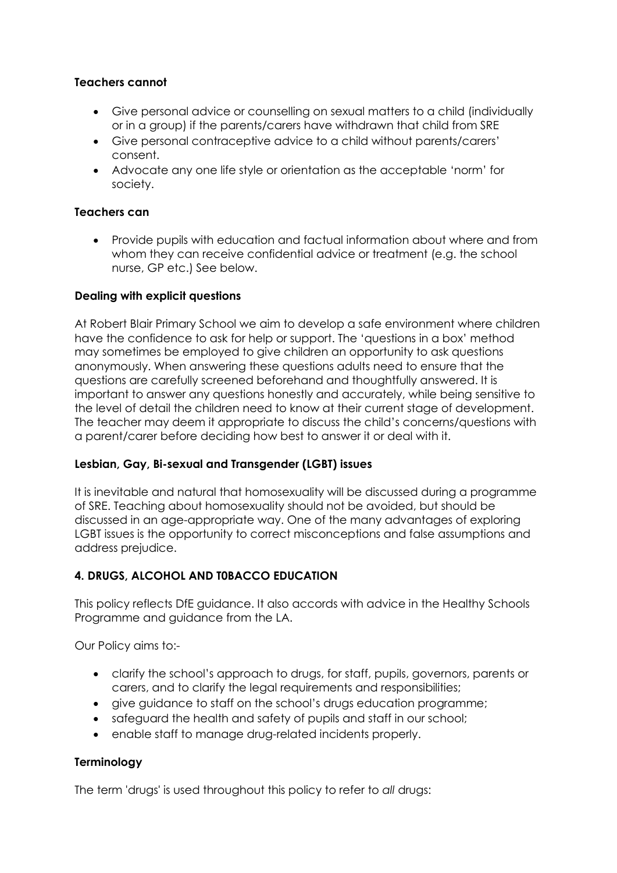## **Teachers cannot**

- Give personal advice or counselling on sexual matters to a child (individually or in a group) if the parents/carers have withdrawn that child from SRE
- Give personal contraceptive advice to a child without parents/carers' consent.
- Advocate any one life style or orientation as the acceptable 'norm' for society.

## **Teachers can**

 Provide pupils with education and factual information about where and from whom they can receive confidential advice or treatment (e.g. the school nurse, GP etc.) See below.

#### **Dealing with explicit questions**

At Robert Blair Primary School we aim to develop a safe environment where children have the confidence to ask for help or support. The 'questions in a box' method may sometimes be employed to give children an opportunity to ask questions anonymously. When answering these questions adults need to ensure that the questions are carefully screened beforehand and thoughtfully answered. It is important to answer any questions honestly and accurately, while being sensitive to the level of detail the children need to know at their current stage of development. The teacher may deem it appropriate to discuss the child's concerns/questions with a parent/carer before deciding how best to answer it or deal with it.

# **Lesbian, Gay, Bi-sexual and Transgender (LGBT) issues**

It is inevitable and natural that homosexuality will be discussed during a programme of SRE. Teaching about homosexuality should not be avoided, but should be discussed in an age-appropriate way. One of the many advantages of exploring LGBT issues is the opportunity to correct misconceptions and false assumptions and address prejudice.

#### **4. DRUGS, ALCOHOL AND T0BACCO EDUCATION**

This policy reflects DfE guidance. It also accords with advice in the Healthy Schools Programme and guidance from the LA.

Our Policy aims to:-

- clarify the school's approach to drugs, for staff, pupils, governors, parents or carers, and to clarify the legal requirements and responsibilities;
- give guidance to staff on the school's drugs education programme;
- safeguard the health and safety of pupils and staff in our school;
- enable staff to manage drug-related incidents properly.

#### **Terminology**

The term 'drugs' is used throughout this policy to refer to *all* drugs: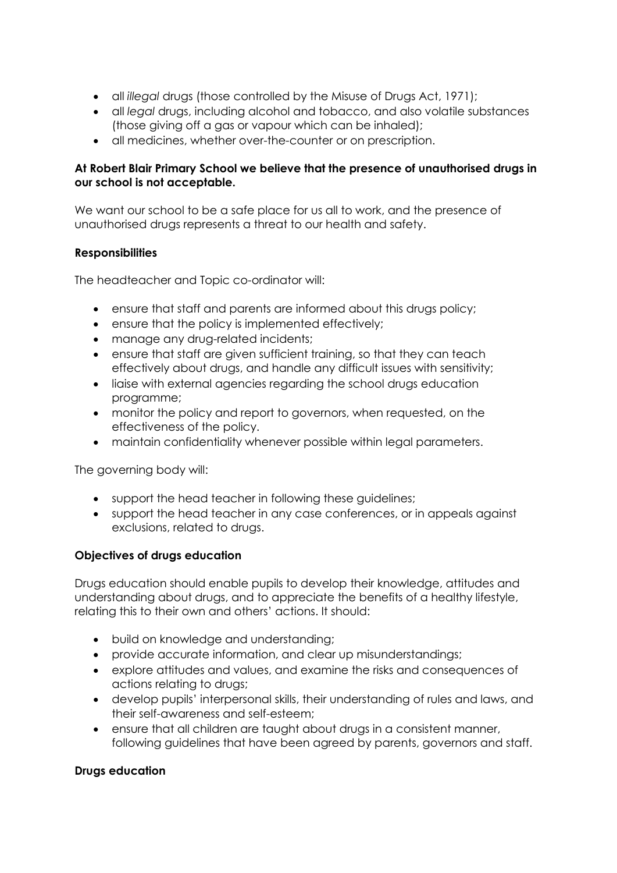- all *illegal* drugs (those controlled by the Misuse of Drugs Act, 1971);
- all *legal* drugs, including alcohol and tobacco, and also volatile substances (those giving off a gas or vapour which can be inhaled);
- all medicines, whether over-the-counter or on prescription.

# **At Robert Blair Primary School we believe that the presence of unauthorised drugs in our school is not acceptable.**

We want our school to be a safe place for us all to work, and the presence of unauthorised drugs represents a threat to our health and safety.

# **Responsibilities**

The headteacher and Topic co-ordinator will:

- ensure that staff and parents are informed about this drugs policy;
- ensure that the policy is implemented effectively;
- manage any drug-related incidents;
- ensure that staff are given sufficient training, so that they can teach effectively about drugs, and handle any difficult issues with sensitivity;
- liaise with external agencies regarding the school drugs education programme;
- monitor the policy and report to governors, when requested, on the effectiveness of the policy.
- maintain confidentiality whenever possible within legal parameters.

The governing body will:

- support the head teacher in following these guidelines;
- support the head teacher in any case conferences, or in appeals against exclusions, related to drugs.

# **Objectives of drugs education**

Drugs education should enable pupils to develop their knowledge, attitudes and understanding about drugs, and to appreciate the benefits of a healthy lifestyle, relating this to their own and others' actions. It should:

- build on knowledge and understanding;
- provide accurate information, and clear up misunderstandings;
- explore attitudes and values, and examine the risks and consequences of actions relating to drugs;
- develop pupils' interpersonal skills, their understanding of rules and laws, and their self-awareness and self-esteem;
- ensure that all children are taught about drugs in a consistent manner, following guidelines that have been agreed by parents, governors and staff.

# **Drugs education**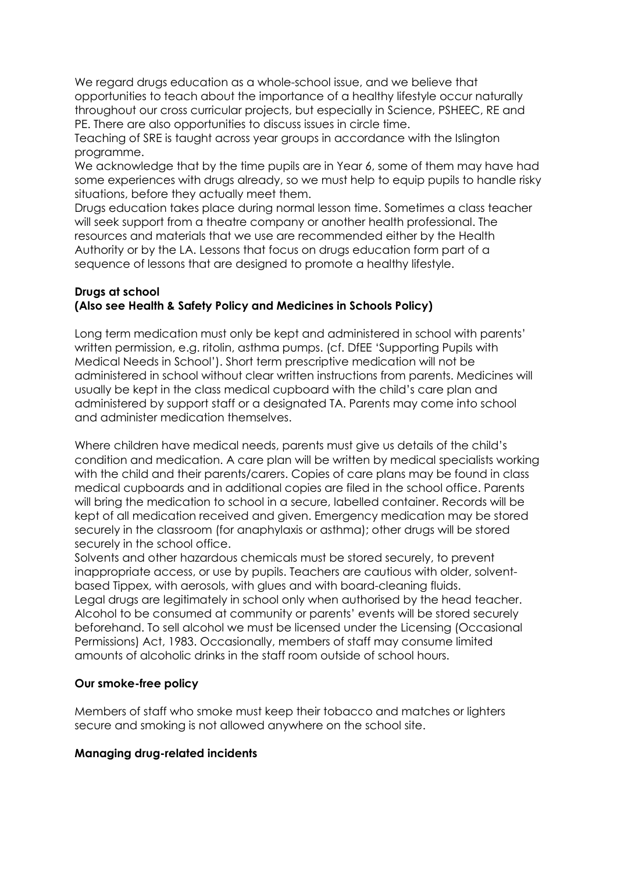We regard drugs education as a whole-school issue, and we believe that opportunities to teach about the importance of a healthy lifestyle occur naturally throughout our cross curricular projects, but especially in Science, PSHEEC, RE and PE. There are also opportunities to discuss issues in circle time.

Teaching of SRE is taught across year groups in accordance with the Islington programme.

We acknowledge that by the time pupils are in Year 6, some of them may have had some experiences with drugs already, so we must help to equip pupils to handle risky situations, before they actually meet them.

Drugs education takes place during normal lesson time. Sometimes a class teacher will seek support from a theatre company or another health professional. The resources and materials that we use are recommended either by the Health Authority or by the LA. Lessons that focus on drugs education form part of a sequence of lessons that are designed to promote a healthy lifestyle.

#### **Drugs at school (Also see Health & Safety Policy and Medicines in Schools Policy)**

Long term medication must only be kept and administered in school with parents' written permission, e.g. ritolin, asthma pumps. (cf. DfEE 'Supporting Pupils with Medical Needs in School'). Short term prescriptive medication will not be administered in school without clear written instructions from parents. Medicines will usually be kept in the class medical cupboard with the child's care plan and administered by support staff or a designated TA. Parents may come into school and administer medication themselves.

Where children have medical needs, parents must give us details of the child's condition and medication. A care plan will be written by medical specialists working with the child and their parents/carers. Copies of care plans may be found in class medical cupboards and in additional copies are filed in the school office. Parents will bring the medication to school in a secure, labelled container. Records will be kept of all medication received and given. Emergency medication may be stored securely in the classroom (for anaphylaxis or asthma); other drugs will be stored securely in the school office.

Solvents and other hazardous chemicals must be stored securely, to prevent inappropriate access, or use by pupils. Teachers are cautious with older, solventbased Tippex, with aerosols, with glues and with board-cleaning fluids. Legal drugs are legitimately in school only when authorised by the head teacher. Alcohol to be consumed at community or parents' events will be stored securely beforehand. To sell alcohol we must be licensed under the Licensing (Occasional Permissions) Act, 1983. Occasionally, members of staff may consume limited amounts of alcoholic drinks in the staff room outside of school hours.

# **Our smoke-free policy**

Members of staff who smoke must keep their tobacco and matches or lighters secure and smoking is not allowed anywhere on the school site.

# **Managing drug-related incidents**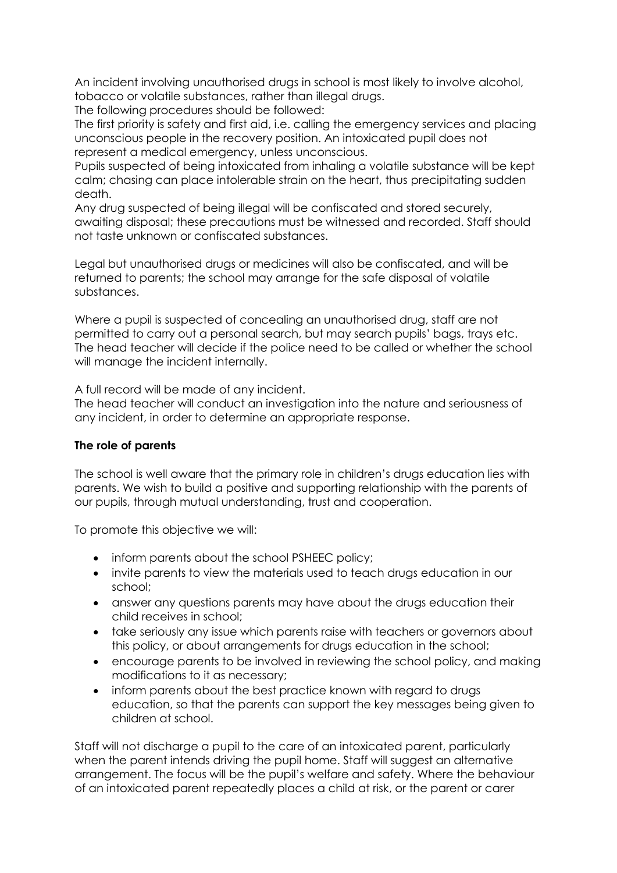An incident involving unauthorised drugs in school is most likely to involve alcohol, tobacco or volatile substances, rather than illegal drugs.

The following procedures should be followed:

The first priority is safety and first aid, i.e. calling the emergency services and placing unconscious people in the recovery position. An intoxicated pupil does not represent a medical emergency, unless unconscious.

Pupils suspected of being intoxicated from inhaling a volatile substance will be kept calm; chasing can place intolerable strain on the heart, thus precipitating sudden death.

Any drug suspected of being illegal will be confiscated and stored securely, awaiting disposal; these precautions must be witnessed and recorded. Staff should not taste unknown or confiscated substances.

Legal but unauthorised drugs or medicines will also be confiscated, and will be returned to parents; the school may arrange for the safe disposal of volatile substances.

Where a pupil is suspected of concealing an unauthorised drug, staff are not permitted to carry out a personal search, but may search pupils' bags, trays etc. The head teacher will decide if the police need to be called or whether the school will manage the incident internally.

A full record will be made of any incident.

The head teacher will conduct an investigation into the nature and seriousness of any incident, in order to determine an appropriate response.

# **The role of parents**

The school is well aware that the primary role in children's drugs education lies with parents. We wish to build a positive and supporting relationship with the parents of our pupils, through mutual understanding, trust and cooperation.

To promote this objective we will:

- inform parents about the school PSHEEC policy;
- invite parents to view the materials used to teach drugs education in our school;
- answer any questions parents may have about the drugs education their child receives in school;
- take seriously any issue which parents raise with teachers or governors about this policy, or about arrangements for drugs education in the school;
- encourage parents to be involved in reviewing the school policy, and making modifications to it as necessary;
- inform parents about the best practice known with regard to drugs education, so that the parents can support the key messages being given to children at school.

Staff will not discharge a pupil to the care of an intoxicated parent, particularly when the parent intends driving the pupil home. Staff will suggest an alternative arrangement. The focus will be the pupil's welfare and safety. Where the behaviour of an intoxicated parent repeatedly places a child at risk, or the parent or carer